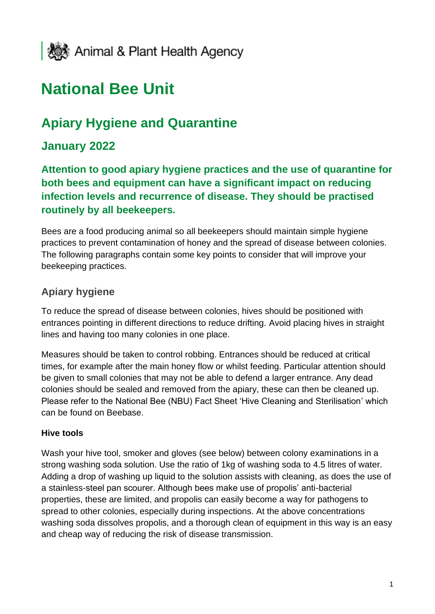

# **National Bee Unit**

# **Apiary Hygiene and Quarantine**

# **January 2022**

**Attention to good apiary hygiene practices and the use of quarantine for both bees and equipment can have a significant impact on reducing infection levels and recurrence of disease. They should be practised routinely by all beekeepers.**

Bees are a food producing animal so all beekeepers should maintain simple hygiene practices to prevent contamination of honey and the spread of disease between colonies. The following paragraphs contain some key points to consider that will improve your beekeeping practices.

## **Apiary hygiene**

To reduce the spread of disease between colonies, hives should be positioned with entrances pointing in different directions to reduce drifting. Avoid placing hives in straight lines and having too many colonies in one place.

Measures should be taken to control robbing. Entrances should be reduced at critical times, for example after the main honey flow or whilst feeding. Particular attention should be given to small colonies that may not be able to defend a larger entrance. Any dead colonies should be sealed and removed from the apiary, these can then be cleaned up. Please refer to the National Bee (NBU) Fact Sheet 'Hive Cleaning and Sterilisation' which can be found on Beebase.

#### **Hive tools**

Wash your hive tool, smoker and gloves (see below) between colony examinations in a strong washing soda solution. Use the ratio of 1kg of washing soda to 4.5 litres of water. Adding a drop of washing up liquid to the solution assists with cleaning, as does the use of a stainless-steel pan scourer. Although bees make use of propolis' anti-bacterial properties, these are limited, and propolis can easily become a way for pathogens to spread to other colonies, especially during inspections. At the above concentrations washing soda dissolves propolis, and a thorough clean of equipment in this way is an easy and cheap way of reducing the risk of disease transmission.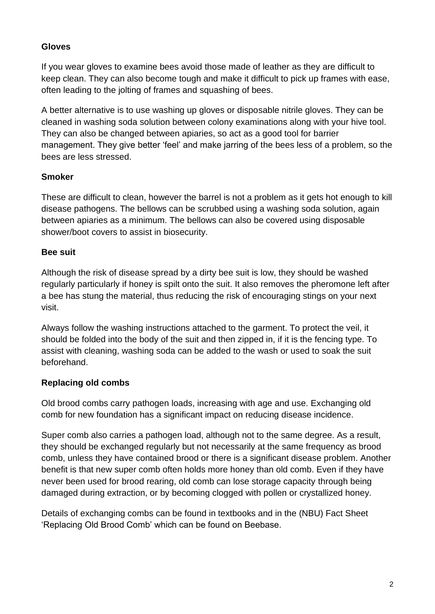#### **Gloves**

If you wear gloves to examine bees avoid those made of leather as they are difficult to keep clean. They can also become tough and make it difficult to pick up frames with ease, often leading to the jolting of frames and squashing of bees.

A better alternative is to use washing up gloves or disposable nitrile gloves. They can be cleaned in washing soda solution between colony examinations along with your hive tool. They can also be changed between apiaries, so act as a good tool for barrier management. They give better 'feel' and make jarring of the bees less of a problem, so the bees are less stressed.

#### **Smoker**

These are difficult to clean, however the barrel is not a problem as it gets hot enough to kill disease pathogens. The bellows can be scrubbed using a washing soda solution, again between apiaries as a minimum. The bellows can also be covered using disposable shower/boot covers to assist in biosecurity.

#### **Bee suit**

Although the risk of disease spread by a dirty bee suit is low, they should be washed regularly particularly if honey is spilt onto the suit. It also removes the pheromone left after a bee has stung the material, thus reducing the risk of encouraging stings on your next visit.

Always follow the washing instructions attached to the garment. To protect the veil, it should be folded into the body of the suit and then zipped in, if it is the fencing type. To assist with cleaning, washing soda can be added to the wash or used to soak the suit beforehand.

#### **Replacing old combs**

Old brood combs carry pathogen loads, increasing with age and use. Exchanging old comb for new foundation has a significant impact on reducing disease incidence.

Super comb also carries a pathogen load, although not to the same degree. As a result, they should be exchanged regularly but not necessarily at the same frequency as brood comb, unless they have contained brood or there is a significant disease problem. Another benefit is that new super comb often holds more honey than old comb. Even if they have never been used for brood rearing, old comb can lose storage capacity through being damaged during extraction, or by becoming clogged with pollen or crystallized honey.

Details of exchanging combs can be found in textbooks and in the (NBU) Fact Sheet 'Replacing Old Brood Comb' which can be found on Beebase.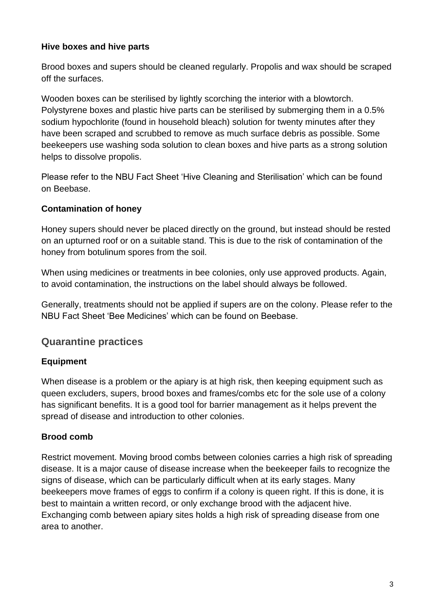#### **Hive boxes and hive parts**

Brood boxes and supers should be cleaned regularly. Propolis and wax should be scraped off the surfaces.

Wooden boxes can be sterilised by lightly scorching the interior with a blowtorch. Polystyrene boxes and plastic hive parts can be sterilised by submerging them in a 0.5% sodium hypochlorite (found in household bleach) solution for twenty minutes after they have been scraped and scrubbed to remove as much surface debris as possible. Some beekeepers use washing soda solution to clean boxes and hive parts as a strong solution helps to dissolve propolis.

Please refer to the NBU Fact Sheet 'Hive Cleaning and Sterilisation' which can be found on Beebase.

#### **Contamination of honey**

Honey supers should never be placed directly on the ground, but instead should be rested on an upturned roof or on a suitable stand. This is due to the risk of contamination of the honey from botulinum spores from the soil.

When using medicines or treatments in bee colonies, only use approved products. Again, to avoid contamination, the instructions on the label should always be followed.

Generally, treatments should not be applied if supers are on the colony. Please refer to the NBU Fact Sheet 'Bee Medicines' which can be found on Beebase.

## **Quarantine practices**

#### **Equipment**

When disease is a problem or the apiary is at high risk, then keeping equipment such as queen excluders, supers, brood boxes and frames/combs etc for the sole use of a colony has significant benefits. It is a good tool for barrier management as it helps prevent the spread of disease and introduction to other colonies.

#### **Brood comb**

Restrict movement. Moving brood combs between colonies carries a high risk of spreading disease. It is a major cause of disease increase when the beekeeper fails to recognize the signs of disease, which can be particularly difficult when at its early stages. Many beekeepers move frames of eggs to confirm if a colony is queen right. If this is done, it is best to maintain a written record, or only exchange brood with the adjacent hive. Exchanging comb between apiary sites holds a high risk of spreading disease from one area to another.